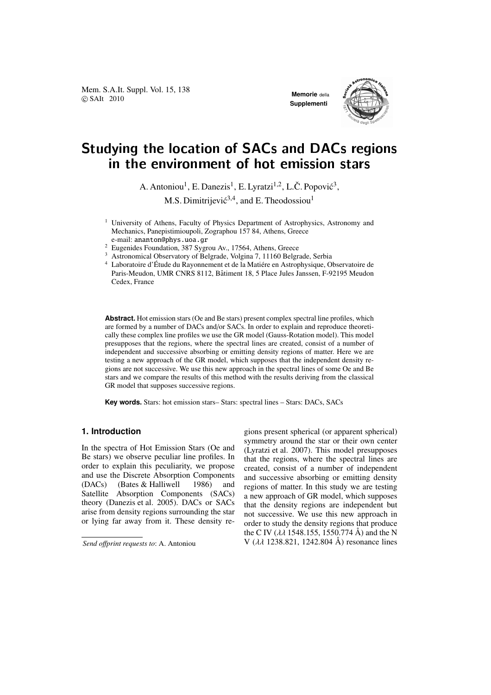Mem. S.A.It. Suppl. Vol. 15, 138 **COVIDENCE COVIDENCE ACCORDING MEMOrie** della<br> **COVIDENCE** SAIt 2010



# Studying the location of SACs and DACs regions in the environment of hot emission stars

A. Antoniou<sup>1</sup>, E. Danezis<sup>1</sup>, E. Lyratzi<sup>1,2</sup>, L.Č. Popović<sup>3</sup>, M.S. Dimitrijević<sup>3,4</sup>, and E. Theodossiou<sup>1</sup>

- <sup>1</sup> University of Athens, Faculty of Physics Department of Astrophysics, Astronomy and Mechanics, Panepistimioupoli, Zographou 157 84, Athens, Greece e-mail: ananton@phys.uoa.gr
- <sup>2</sup> Eugenides Foundation, 387 Sygrou Av., 17564, Athens, Greece
- <sup>3</sup> Astronomical Observatory of Belgrade, Volgina 7, 11160 Belgrade, Serbia

<sup>4</sup> Laboratoire d'Étude du Rayonnement et de la Matiére en Astrophysique, Observatoire de Paris-Meudon, UMR CNRS 8112, Bâtiment 18, 5 Place Jules Janssen, F-92195 Meudon Cedex, France

**Abstract.** Hot emission stars (Oe and Be stars) present complex spectral line profiles, which are formed by a number of DACs and/or SACs. In order to explain and reproduce theoretically these complex line profiles we use the GR model (Gauss-Rotation model). This model presupposes that the regions, where the spectral lines are created, consist of a number of independent and successive absorbing or emitting density regions of matter. Here we are testing a new approach of the GR model, which supposes that the independent density regions are not successive. We use this new approach in the spectral lines of some Oe and Be stars and we compare the results of this method with the results deriving from the classical GR model that supposes successive regions.

**Key words.** Stars: hot emission stars– Stars: spectral lines – Stars: DACs, SACs

## **1. Introduction**

In the spectra of Hot Emission Stars (Oe and Be stars) we observe peculiar line profiles. In order to explain this peculiarity, we propose and use the Discrete Absorption Components (DACs) (Bates & Halliwell 1986) and Satellite Absorption Components (SACs) theory (Danezis et al. 2005). DACs or SACs arise from density regions surrounding the star or lying far away from it. These density regions present spherical (or apparent spherical) symmetry around the star or their own center (Lyratzi et al. 2007). This model presupposes that the regions, where the spectral lines are created, consist of a number of independent and successive absorbing or emitting density regions of matter. In this study we are testing a new approach of GR model, which supposes that the density regions are independent but not successive. We use this new approach in order to study the density regions that produce the C IV ( $\lambda \lambda$  1548.155, 1550.774 Å) and the N V (λλ 1238.821, 1242.804 Å) resonance lines

*Send o*ff*print requests to*: A. Antoniou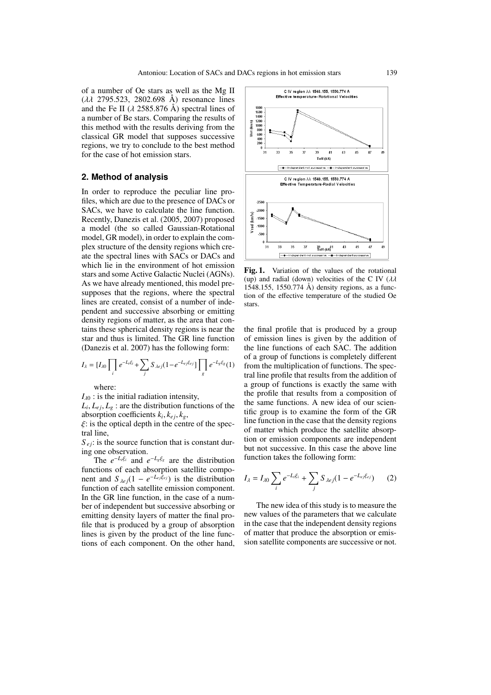of a number of Oe stars as well as the Mg II ( $\lambda \lambda$  2795.523, 2802.698 Å) resonance lines and the Fe II ( $\lambda$  2585.876 Å) spectral lines of a number of Be stars. Comparing the results of this method with the results deriving from the classical GR model that supposes successive regions, we try to conclude to the best method for the case of hot emission stars.

## **2. Method of analysis**

In order to reproduce the peculiar line profiles, which are due to the presence of DACs or SACs, we have to calculate the line function. Recently, Danezis et al. (2005, 2007) proposed a model (the so called Gaussian-Rotational model, GR model), in order to explain the complex structure of the density regions which create the spectral lines with SACs or DACs and which lie in the environment of hot emission stars and some Active Galactic Nuclei (AGNs). As we have already mentioned, this model presupposes that the regions, where the spectral lines are created, consist of a number of independent and successive absorbing or emitting density regions of matter, as the area that contains these spherical density regions is near the star and thus is limited. The GR line function (Danezis et al. 2007) has the following form:

$$
I_{\lambda} = [I_{\lambda 0} \prod_{i} e^{-L_{i} \xi_{i}} + \sum_{j} S_{\lambda e_{j}} (1 - e^{-L_{e} j \xi_{ej}}) \prod_{g} e^{-L_{g} \xi_{g}} (1)
$$

where:

 $I_{\lambda0}$ : is the initial radiation intensity,

 $L_i, L_{ej}, L_g$ : are the distribution functions of the absorption coefficients  $k_i, k_{ej}, k_g$ ,

 $\mathcal{E}$ : is the optical depth in the centre of the spectral line,

 $S_{ei}$ : is the source function that is constant during one observation.

The  $e^{-L_i\xi_i}$  and  $e^{-L_g\xi_g}$  are the distribution functions of each absorption satellite component and  $S_{\lambda ej}(1 - e^{-L_{ej}\hat{\xi}_{ej}})$  is the distribution function of each satellite emission component. In the GR line function, in the case of a number of independent but successive absorbing or emitting density layers of matter the final profile that is produced by a group of absorption lines is given by the product of the line functions of each component. On the other hand,



Fig. 1. Variation of the values of the rotational (up) and radial (down) velocities of the C IV ( $\lambda\lambda$ 1548.155, 1550.774 Å) density regions, as a function of the effective temperature of the studied Oe stars.

the final profile that is produced by a group of emission lines is given by the addition of the line functions of each SAC. The addition of a group of functions is completely different from the multiplication of functions. The spectral line profile that results from the addition of a group of functions is exactly the same with the profile that results from a composition of the same functions. A new idea of our scientific group is to examine the form of the GR line function in the case that the density regions of matter which produce the satellite absorption or emission components are independent but not successive. In this case the above line function takes the following form:

$$
I_{\lambda} = I_{\lambda 0} \sum_{i} e^{-L_{i} \xi_{i}} + \sum_{j} S_{\lambda ej} (1 - e^{-L_{ej} \xi_{ej}})
$$
 (2)

The new idea of this study is to measure the new values of the parameters that we calculate in the case that the independent density regions of matter that produce the absorption or emission satellite components are successive or not.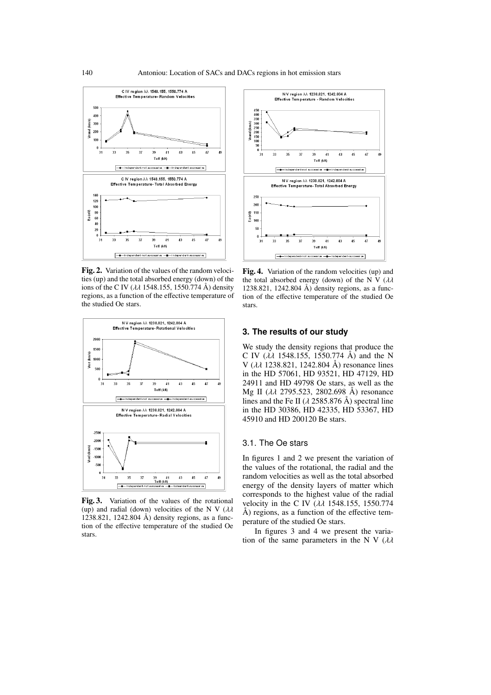

Fig. 2. Variation of the values of the random velocities (up) and the total absorbed energy (down) of the ions of the C IV ( $\lambda \lambda$  1548.155, 1550.774 Å) density regions, as a function of the effective temperature of the studied Oe stars.



Fig. 3. Variation of the values of the rotational (up) and radial (down) velocities of the N V ( $\lambda\lambda$ 1238.821, 1242.804 Å) density regions, as a function of the effective temperature of the studied Oe stars.



Fig. 4. Variation of the random velocities (up) and the total absorbed energy (down) of the N V  $(\lambda \lambda)$ 1238.821, 1242.804 Å) density regions, as a function of the effective temperature of the studied Oe stars.

#### **3. The results of our study**

We study the density regions that produce the C IV ( $\lambda \lambda$  1548.155, 1550.774 Å) and the N V ( $\lambda \lambda$  1238.821, 1242.804 Å) resonance lines in the HD 57061, HD 93521, HD 47129, HD 24911 and HD 49798 Oe stars, as well as the Mg II (λλ 2795.523, 2802.698 Å) resonance lines and the Fe II ( $\lambda$  2585.876 Å) spectral line in the HD 30386, HD 42335, HD 53367, HD 45910 and HD 200120 Be stars.

#### 3.1. The Oe stars

In figures 1 and 2 we present the variation of the values of the rotational, the radial and the random velocities as well as the total absorbed energy of the density layers of matter which corresponds to the highest value of the radial velocity in the C IV ( $\lambda\lambda$  1548.155, 1550.774  $\AA$ ) regions, as a function of the effective temperature of the studied Oe stars.

In figures 3 and 4 we present the variation of the same parameters in the N V  $(\lambda \lambda)$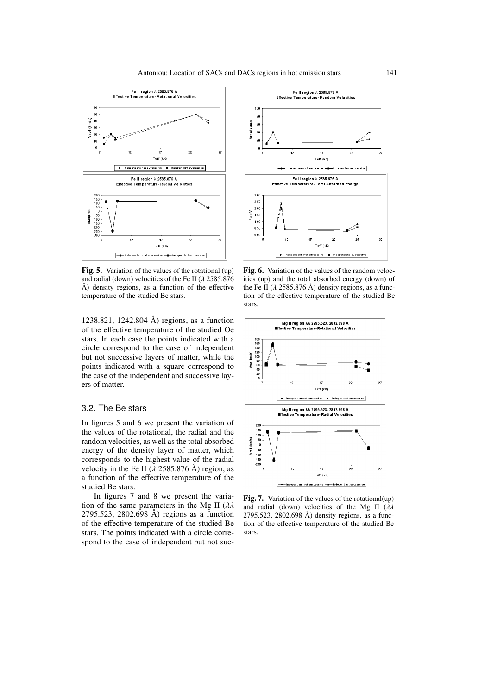

Fig. 5. Variation of the values of the rotational (up) and radial (down) velocities of the Fe II ( $\lambda$  2585.876 Å) density regions, as a function of the effective temperature of the studied Be stars.

1238.821, 1242.804 Å) regions, as a function of the effective temperature of the studied Oe stars. In each case the points indicated with a circle correspond to the case of independent but not successive layers of matter, while the points indicated with a square correspond to the case of the independent and successive layers of matter.

### 3.2. The Be stars

In figures 5 and 6 we present the variation of the values of the rotational, the radial and the random velocities, as well as the total absorbed energy of the density layer of matter, which corresponds to the highest value of the radial velocity in the Fe II ( $\lambda$  2585.876 Å) region, as a function of the effective temperature of the studied Be stars.

In figures 7 and 8 we present the variation of the same parameters in the Mg II  $(\lambda \lambda)$ 2795.523, 2802.698 Å) regions as a function of the effective temperature of the studied Be stars. The points indicated with a circle correspond to the case of independent but not suc-



Fig. 6. Variation of the values of the random velocities (up) and the total absorbed energy (down) of the Fe II ( $\lambda$  2585.876 Å) density regions, as a function of the effective temperature of the studied Be stars.



Fig. 7. Variation of the values of the rotational(up) and radial (down) velocities of the Mg II  $(\lambda \lambda)$ 2795.523, 2802.698 Å) density regions, as a function of the effective temperature of the studied Be stars.